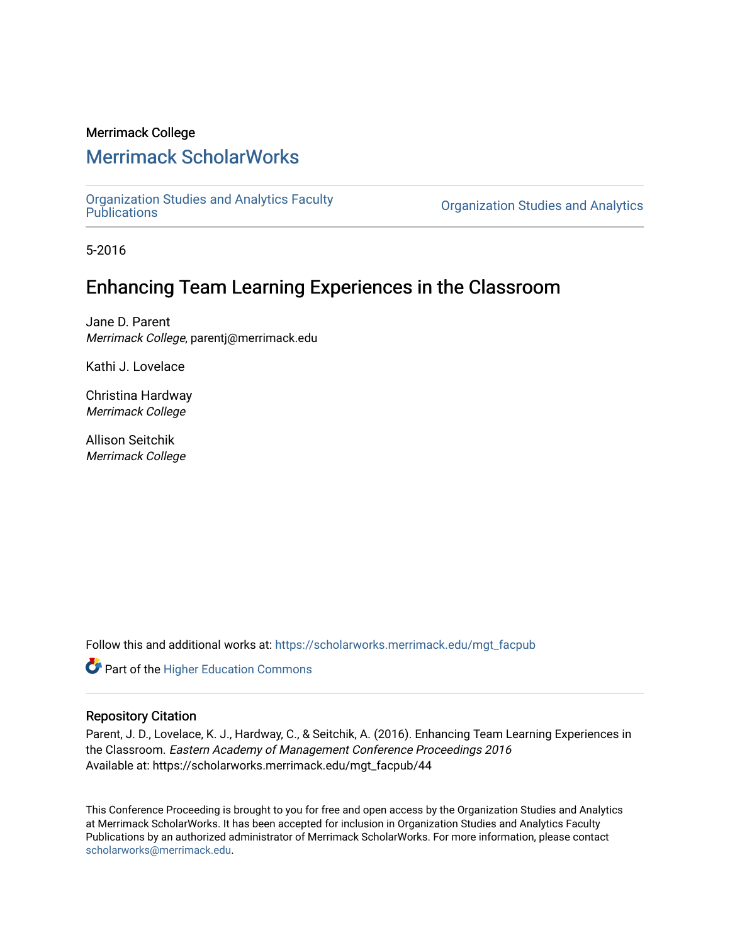#### Merrimack College

# [Merrimack ScholarWorks](https://scholarworks.merrimack.edu/)

[Organization Studies and Analytics Faculty](https://scholarworks.merrimack.edu/mgt_facpub) 

**Organization Studies and Analytics** 

5-2016

# Enhancing Team Learning Experiences in the Classroom

Jane D. Parent Merrimack College, parentj@merrimack.edu

Kathi J. Lovelace

Christina Hardway Merrimack College

Allison Seitchik Merrimack College

Follow this and additional works at: [https://scholarworks.merrimack.edu/mgt\\_facpub](https://scholarworks.merrimack.edu/mgt_facpub?utm_source=scholarworks.merrimack.edu%2Fmgt_facpub%2F44&utm_medium=PDF&utm_campaign=PDFCoverPages) 

Part of the [Higher Education Commons](http://network.bepress.com/hgg/discipline/1245?utm_source=scholarworks.merrimack.edu%2Fmgt_facpub%2F44&utm_medium=PDF&utm_campaign=PDFCoverPages) 

#### Repository Citation

Parent, J. D., Lovelace, K. J., Hardway, C., & Seitchik, A. (2016). Enhancing Team Learning Experiences in the Classroom. Eastern Academy of Management Conference Proceedings 2016 Available at: https://scholarworks.merrimack.edu/mgt\_facpub/44

This Conference Proceeding is brought to you for free and open access by the Organization Studies and Analytics at Merrimack ScholarWorks. It has been accepted for inclusion in Organization Studies and Analytics Faculty Publications by an authorized administrator of Merrimack ScholarWorks. For more information, please contact [scholarworks@merrimack.edu](mailto:scholarworks@merrimack.edu).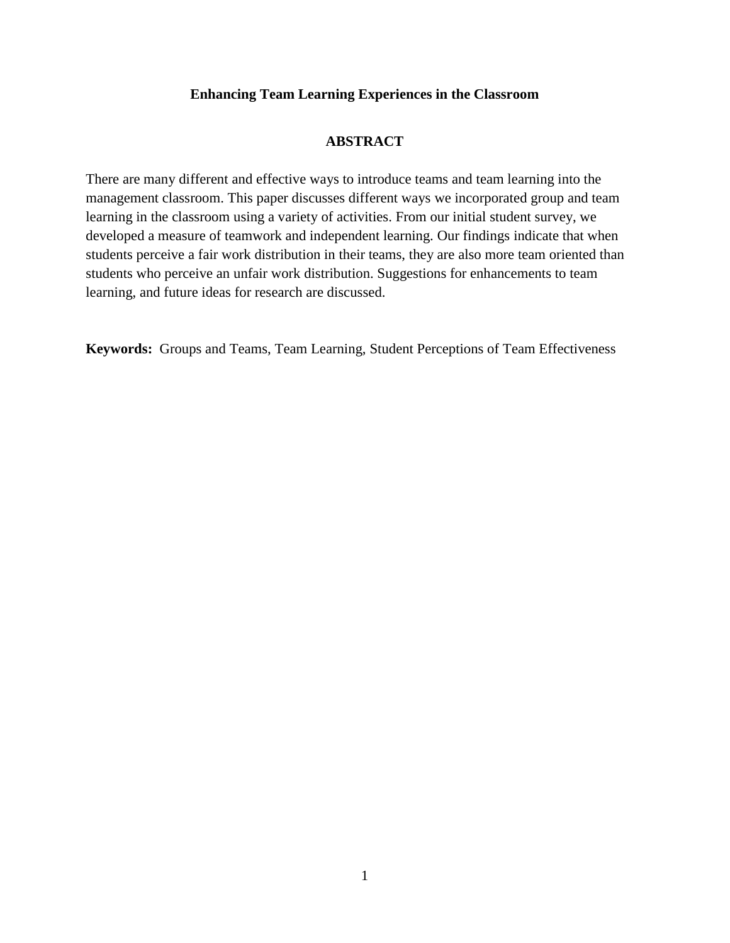### **Enhancing Team Learning Experiences in the Classroom**

### **ABSTRACT**

There are many different and effective ways to introduce teams and team learning into the management classroom. This paper discusses different ways we incorporated group and team learning in the classroom using a variety of activities. From our initial student survey, we developed a measure of teamwork and independent learning. Our findings indicate that when students perceive a fair work distribution in their teams, they are also more team oriented than students who perceive an unfair work distribution. Suggestions for enhancements to team learning, and future ideas for research are discussed.

**Keywords:** Groups and Teams, Team Learning, Student Perceptions of Team Effectiveness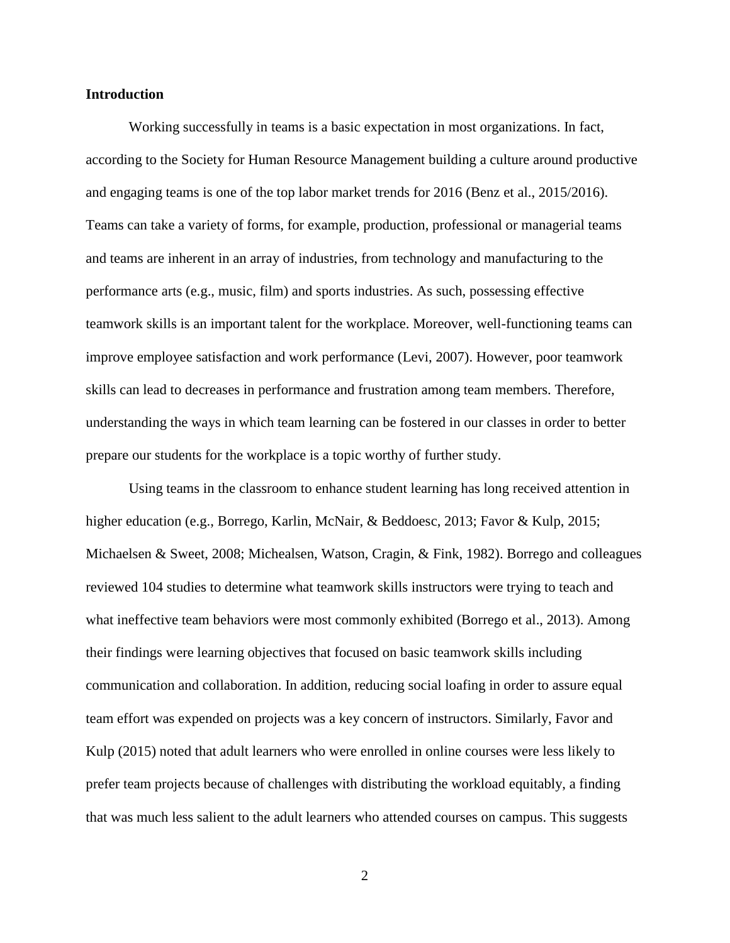#### **Introduction**

Working successfully in teams is a basic expectation in most organizations. In fact, according to the Society for Human Resource Management building a culture around productive and engaging teams is one of the top labor market trends for 2016 (Benz et al., 2015/2016). Teams can take a variety of forms, for example, production, professional or managerial teams and teams are inherent in an array of industries, from technology and manufacturing to the performance arts (e.g., music, film) and sports industries. As such, possessing effective teamwork skills is an important talent for the workplace. Moreover, well-functioning teams can improve employee satisfaction and work performance (Levi, 2007). However, poor teamwork skills can lead to decreases in performance and frustration among team members. Therefore, understanding the ways in which team learning can be fostered in our classes in order to better prepare our students for the workplace is a topic worthy of further study.

Using teams in the classroom to enhance student learning has long received attention in higher education (e.g., Borrego, Karlin, McNair, & Beddoesc, 2013; Favor & Kulp, 2015; Michaelsen & Sweet, 2008; Michealsen, Watson, Cragin, & Fink, 1982). Borrego and colleagues reviewed 104 studies to determine what teamwork skills instructors were trying to teach and what ineffective team behaviors were most commonly exhibited (Borrego et al., 2013). Among their findings were learning objectives that focused on basic teamwork skills including communication and collaboration. In addition, reducing social loafing in order to assure equal team effort was expended on projects was a key concern of instructors. Similarly, Favor and Kulp (2015) noted that adult learners who were enrolled in online courses were less likely to prefer team projects because of challenges with distributing the workload equitably, a finding that was much less salient to the adult learners who attended courses on campus. This suggests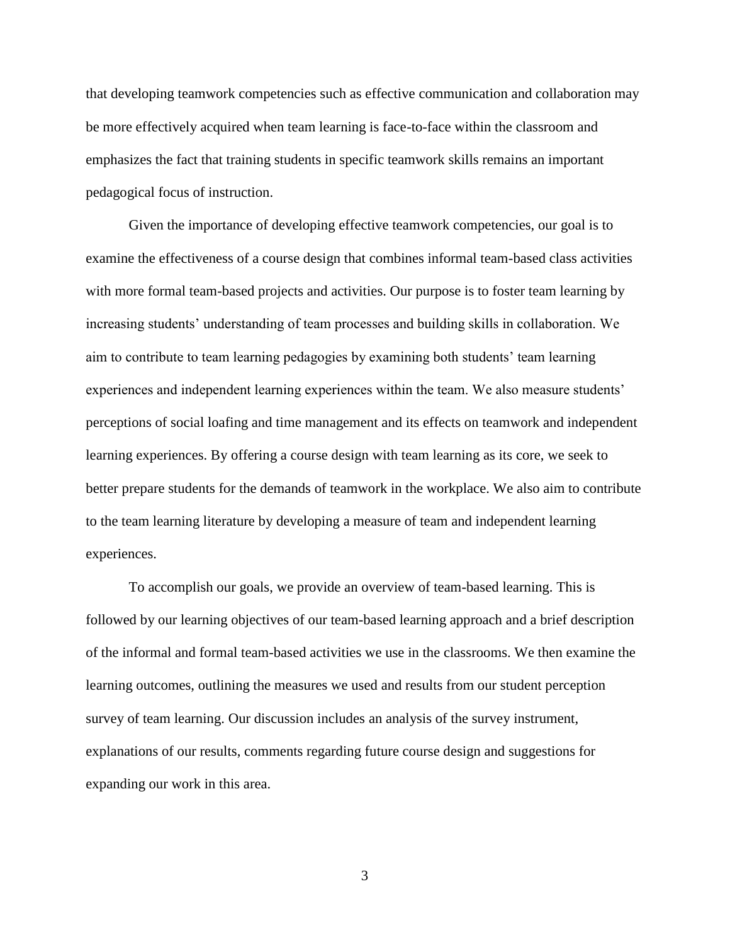that developing teamwork competencies such as effective communication and collaboration may be more effectively acquired when team learning is face-to-face within the classroom and emphasizes the fact that training students in specific teamwork skills remains an important pedagogical focus of instruction.

Given the importance of developing effective teamwork competencies, our goal is to examine the effectiveness of a course design that combines informal team-based class activities with more formal team-based projects and activities. Our purpose is to foster team learning by increasing students' understanding of team processes and building skills in collaboration. We aim to contribute to team learning pedagogies by examining both students' team learning experiences and independent learning experiences within the team. We also measure students' perceptions of social loafing and time management and its effects on teamwork and independent learning experiences. By offering a course design with team learning as its core, we seek to better prepare students for the demands of teamwork in the workplace. We also aim to contribute to the team learning literature by developing a measure of team and independent learning experiences.

To accomplish our goals, we provide an overview of team-based learning. This is followed by our learning objectives of our team-based learning approach and a brief description of the informal and formal team-based activities we use in the classrooms. We then examine the learning outcomes, outlining the measures we used and results from our student perception survey of team learning. Our discussion includes an analysis of the survey instrument, explanations of our results, comments regarding future course design and suggestions for expanding our work in this area.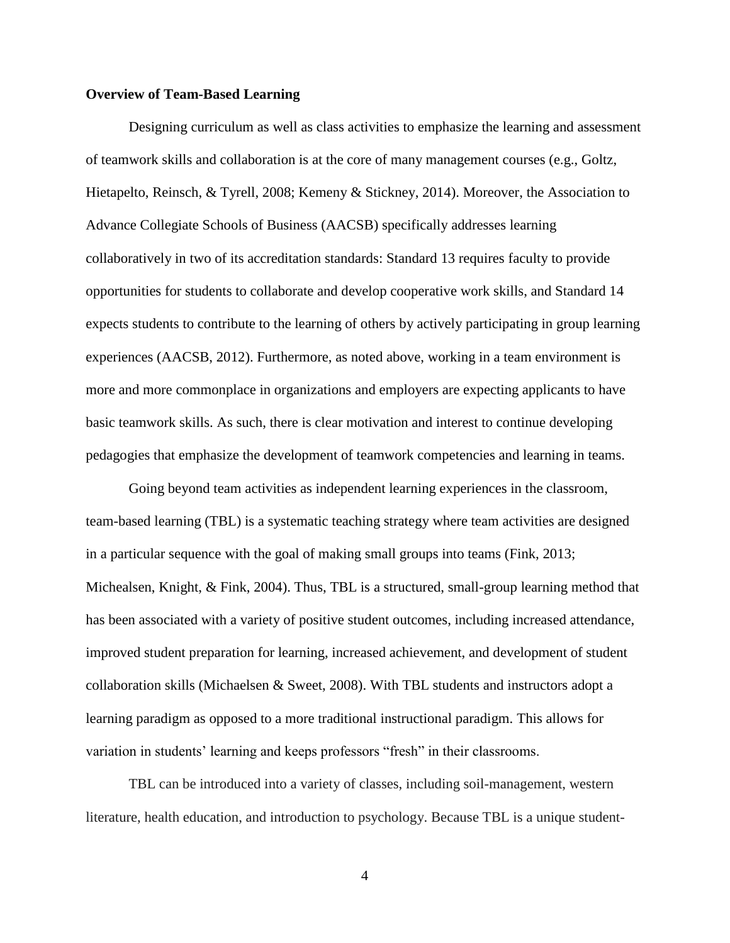#### **Overview of Team-Based Learning**

Designing curriculum as well as class activities to emphasize the learning and assessment of teamwork skills and collaboration is at the core of many management courses (e.g., Goltz, Hietapelto, Reinsch, & Tyrell, 2008; Kemeny & Stickney, 2014). Moreover, the Association to Advance Collegiate Schools of Business (AACSB) specifically addresses learning collaboratively in two of its accreditation standards: Standard 13 requires faculty to provide opportunities for students to collaborate and develop cooperative work skills, and Standard 14 expects students to contribute to the learning of others by actively participating in group learning experiences (AACSB, 2012). Furthermore, as noted above, working in a team environment is more and more commonplace in organizations and employers are expecting applicants to have basic teamwork skills. As such, there is clear motivation and interest to continue developing pedagogies that emphasize the development of teamwork competencies and learning in teams.

Going beyond team activities as independent learning experiences in the classroom, team-based learning (TBL) is a systematic teaching strategy where team activities are designed in a particular sequence with the goal of making small groups into teams (Fink, 2013; Michealsen, Knight, & Fink, 2004). Thus, TBL is a structured, small-group learning method that has been associated with a variety of positive student outcomes, including increased attendance, improved student preparation for learning, increased achievement, and development of student collaboration skills (Michaelsen  $\&$  Sweet, 2008). With TBL students and instructors adopt a learning paradigm as opposed to a more traditional instructional paradigm. This allows for variation in students' learning and keeps professors "fresh" in their classrooms.

TBL can be introduced into a variety of classes, including soil-management, western literature, health education, and introduction to psychology. Because TBL is a unique student-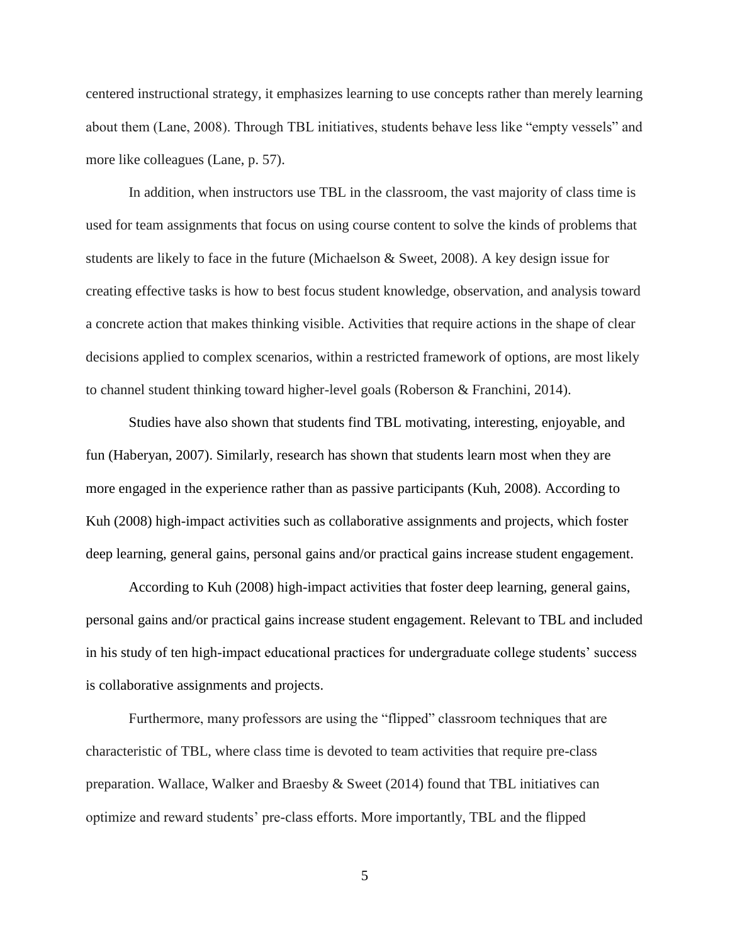centered instructional strategy, it emphasizes learning to use concepts rather than merely learning about them (Lane, 2008). Through TBL initiatives, students behave less like "empty vessels" and more like colleagues (Lane, p. 57).

In addition, when instructors use TBL in the classroom, the vast majority of class time is used for team assignments that focus on using course content to solve the kinds of problems that students are likely to face in the future (Michaelson & Sweet, 2008). A key design issue for creating effective tasks is how to best focus student knowledge, observation, and analysis toward a concrete action that makes thinking visible. Activities that require actions in the shape of clear decisions applied to complex scenarios, within a restricted framework of options, are most likely to channel student thinking toward higher-level goals (Roberson & Franchini, 2014).

Studies have also shown that students find TBL motivating, interesting, enjoyable, and fun (Haberyan, 2007). Similarly, research has shown that students learn most when they are more engaged in the experience rather than as passive participants (Kuh, 2008). According to Kuh (2008) high-impact activities such as collaborative assignments and projects, which foster deep learning, general gains, personal gains and/or practical gains increase student engagement.

According to Kuh (2008) high-impact activities that foster deep learning, general gains, personal gains and/or practical gains increase student engagement. Relevant to TBL and included in his study of ten high-impact educational practices for undergraduate college students' success is collaborative assignments and projects.

Furthermore, many professors are using the "flipped" classroom techniques that are characteristic of TBL, where class time is devoted to team activities that require pre-class preparation. Wallace, Walker and Braesby  $\&$  Sweet (2014) found that TBL initiatives can optimize and reward students' pre-class efforts. More importantly, TBL and the flipped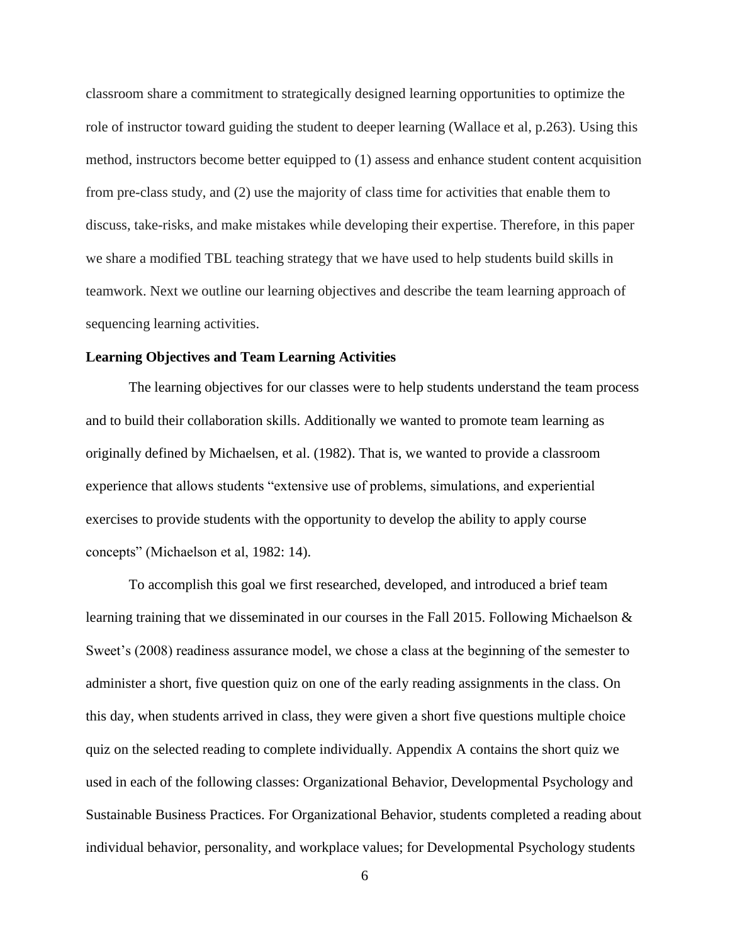classroom share a commitment to strategically designed learning opportunities to optimize the role of instructor toward guiding the student to deeper learning (Wallace et al, p.263). Using this method, instructors become better equipped to (1) assess and enhance student content acquisition from pre-class study, and (2) use the majority of class time for activities that enable them to discuss, take-risks, and make mistakes while developing their expertise. Therefore, in this paper we share a modified TBL teaching strategy that we have used to help students build skills in teamwork. Next we outline our learning objectives and describe the team learning approach of sequencing learning activities.

#### **Learning Objectives and Team Learning Activities**

The learning objectives for our classes were to help students understand the team process and to build their collaboration skills. Additionally we wanted to promote team learning as originally defined by Michaelsen, et al. (1982). That is, we wanted to provide a classroom experience that allows students "extensive use of problems, simulations, and experiential exercises to provide students with the opportunity to develop the ability to apply course concepts" (Michaelson et al, 1982: 14).

To accomplish this goal we first researched, developed, and introduced a brief team learning training that we disseminated in our courses in the Fall 2015. Following Michaelson & Sweet's (2008) readiness assurance model, we chose a class at the beginning of the semester to administer a short, five question quiz on one of the early reading assignments in the class. On this day, when students arrived in class, they were given a short five questions multiple choice quiz on the selected reading to complete individually. Appendix A contains the short quiz we used in each of the following classes: Organizational Behavior, Developmental Psychology and Sustainable Business Practices. For Organizational Behavior, students completed a reading about individual behavior, personality, and workplace values; for Developmental Psychology students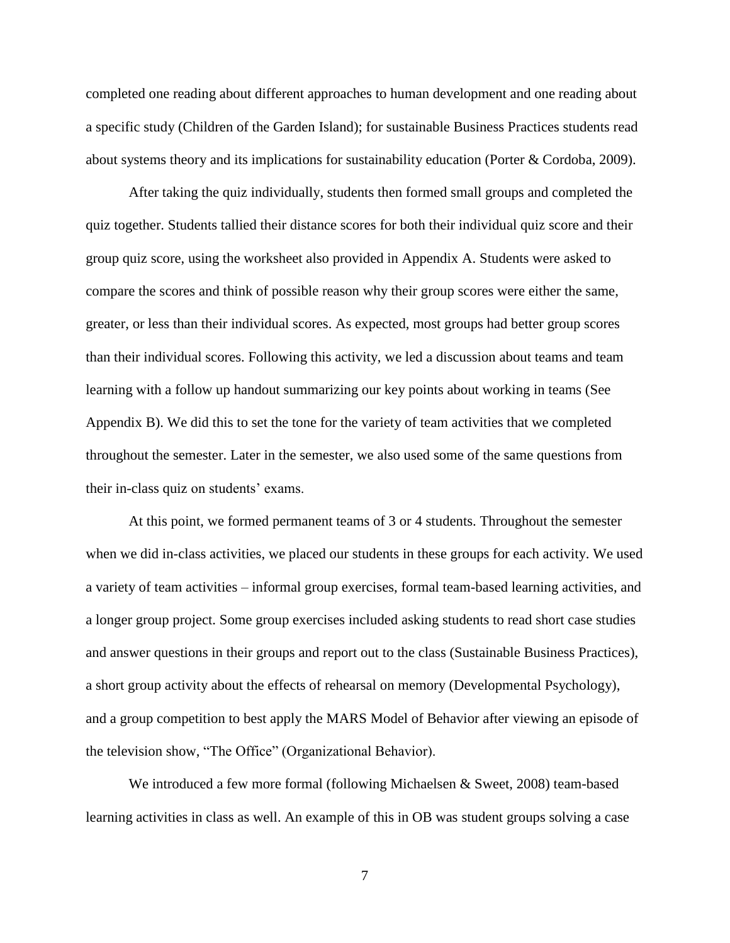completed one reading about different approaches to human development and one reading about a specific study (Children of the Garden Island); for sustainable Business Practices students read about systems theory and its implications for sustainability education (Porter & Cordoba, 2009).

After taking the quiz individually, students then formed small groups and completed the quiz together. Students tallied their distance scores for both their individual quiz score and their group quiz score, using the worksheet also provided in Appendix A. Students were asked to compare the scores and think of possible reason why their group scores were either the same, greater, or less than their individual scores. As expected, most groups had better group scores than their individual scores. Following this activity, we led a discussion about teams and team learning with a follow up handout summarizing our key points about working in teams (See Appendix B). We did this to set the tone for the variety of team activities that we completed throughout the semester. Later in the semester, we also used some of the same questions from their in-class quiz on students' exams.

At this point, we formed permanent teams of 3 or 4 students. Throughout the semester when we did in-class activities, we placed our students in these groups for each activity. We used a variety of team activities – informal group exercises, formal team-based learning activities, and a longer group project. Some group exercises included asking students to read short case studies and answer questions in their groups and report out to the class (Sustainable Business Practices), a short group activity about the effects of rehearsal on memory (Developmental Psychology), and a group competition to best apply the MARS Model of Behavior after viewing an episode of the television show, "The Office" (Organizational Behavior).

We introduced a few more formal (following Michaelsen & Sweet, 2008) team-based learning activities in class as well. An example of this in OB was student groups solving a case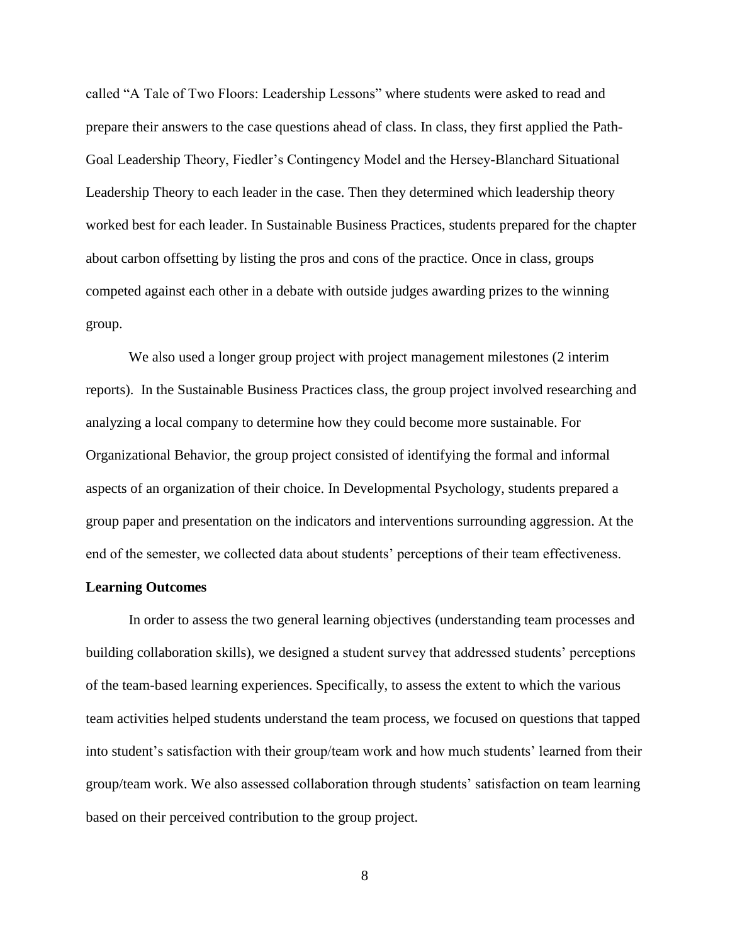called "A Tale of Two Floors: Leadership Lessons" where students were asked to read and prepare their answers to the case questions ahead of class. In class, they first applied the Path-Goal Leadership Theory, Fiedler's Contingency Model and the Hersey-Blanchard Situational Leadership Theory to each leader in the case. Then they determined which leadership theory worked best for each leader. In Sustainable Business Practices, students prepared for the chapter about carbon offsetting by listing the pros and cons of the practice. Once in class, groups competed against each other in a debate with outside judges awarding prizes to the winning group.

We also used a longer group project with project management milestones (2 interim reports). In the Sustainable Business Practices class, the group project involved researching and analyzing a local company to determine how they could become more sustainable. For Organizational Behavior, the group project consisted of identifying the formal and informal aspects of an organization of their choice. In Developmental Psychology, students prepared a group paper and presentation on the indicators and interventions surrounding aggression. At the end of the semester, we collected data about students' perceptions of their team effectiveness.

#### **Learning Outcomes**

In order to assess the two general learning objectives (understanding team processes and building collaboration skills), we designed a student survey that addressed students' perceptions of the team-based learning experiences. Specifically, to assess the extent to which the various team activities helped students understand the team process, we focused on questions that tapped into student's satisfaction with their group/team work and how much students' learned from their group/team work. We also assessed collaboration through students' satisfaction on team learning based on their perceived contribution to the group project.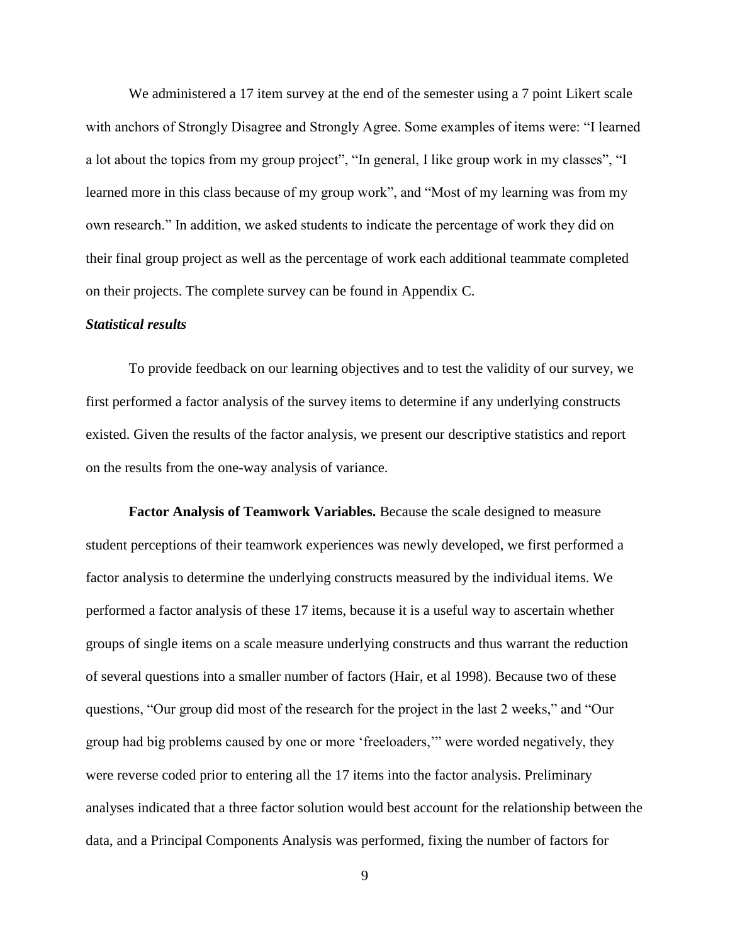We administered a 17 item survey at the end of the semester using a 7 point Likert scale with anchors of Strongly Disagree and Strongly Agree. Some examples of items were: "I learned a lot about the topics from my group project", "In general, I like group work in my classes", "I learned more in this class because of my group work", and "Most of my learning was from my own research." In addition, we asked students to indicate the percentage of work they did on their final group project as well as the percentage of work each additional teammate completed on their projects. The complete survey can be found in Appendix C.

#### *Statistical results*

To provide feedback on our learning objectives and to test the validity of our survey, we first performed a factor analysis of the survey items to determine if any underlying constructs existed. Given the results of the factor analysis, we present our descriptive statistics and report on the results from the one-way analysis of variance.

**Factor Analysis of Teamwork Variables.** Because the scale designed to measure student perceptions of their teamwork experiences was newly developed, we first performed a factor analysis to determine the underlying constructs measured by the individual items. We performed a factor analysis of these 17 items, because it is a useful way to ascertain whether groups of single items on a scale measure underlying constructs and thus warrant the reduction of several questions into a smaller number of factors (Hair, et al 1998). Because two of these questions, "Our group did most of the research for the project in the last 2 weeks," and "Our group had big problems caused by one or more 'freeloaders,'" were worded negatively, they were reverse coded prior to entering all the 17 items into the factor analysis. Preliminary analyses indicated that a three factor solution would best account for the relationship between the data, and a Principal Components Analysis was performed, fixing the number of factors for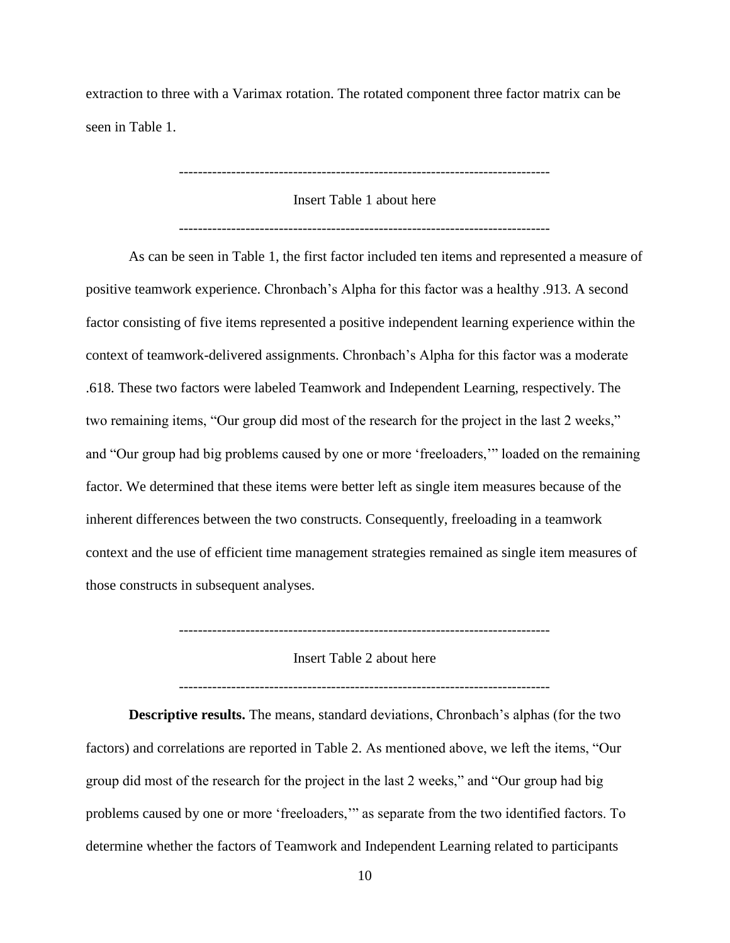extraction to three with a Varimax rotation. The rotated component three factor matrix can be seen in Table 1.

Insert Table 1 about here

As can be seen in Table 1, the first factor included ten items and represented a measure of positive teamwork experience. Chronbach's Alpha for this factor was a healthy .913. A second factor consisting of five items represented a positive independent learning experience within the context of teamwork-delivered assignments. Chronbach's Alpha for this factor was a moderate .618. These two factors were labeled Teamwork and Independent Learning, respectively. The two remaining items, "Our group did most of the research for the project in the last 2 weeks," and "Our group had big problems caused by one or more 'freeloaders,'" loaded on the remaining factor. We determined that these items were better left as single item measures because of the inherent differences between the two constructs. Consequently, freeloading in a teamwork context and the use of efficient time management strategies remained as single item measures of those constructs in subsequent analyses.

------------------------------------------------------------------------------

Insert Table 2 about here

------------------------------------------------------------------------------

**Descriptive results.** The means, standard deviations, Chronbach's alphas (for the two factors) and correlations are reported in Table 2. As mentioned above, we left the items, "Our group did most of the research for the project in the last 2 weeks," and "Our group had big problems caused by one or more 'freeloaders,'" as separate from the two identified factors. To determine whether the factors of Teamwork and Independent Learning related to participants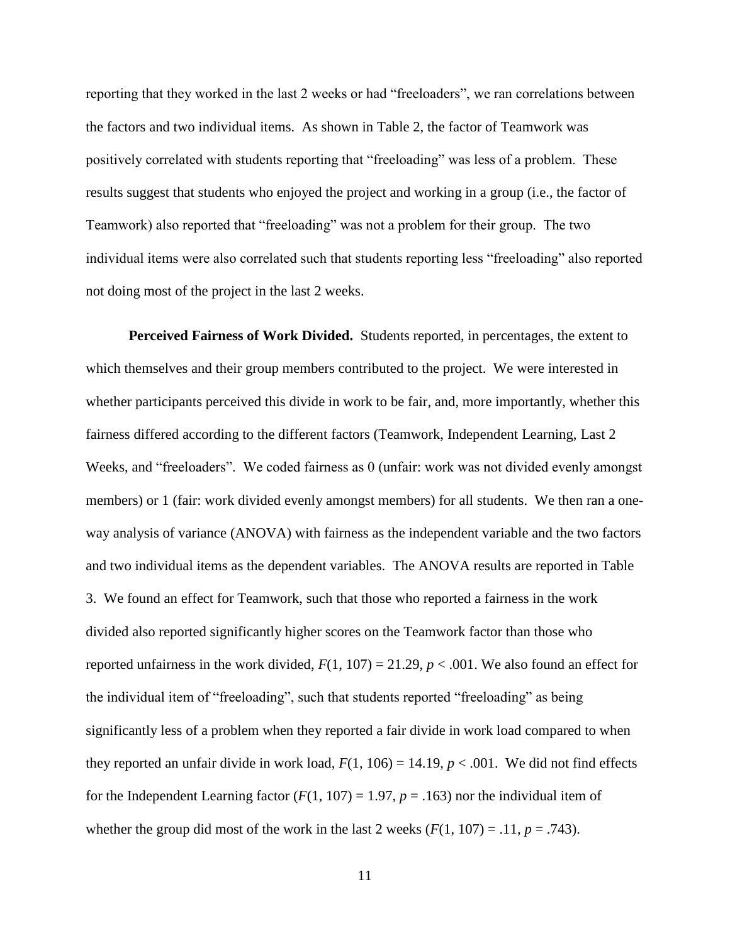reporting that they worked in the last 2 weeks or had "freeloaders", we ran correlations between the factors and two individual items. As shown in Table 2, the factor of Teamwork was positively correlated with students reporting that "freeloading" was less of a problem. These results suggest that students who enjoyed the project and working in a group (i.e., the factor of Teamwork) also reported that "freeloading" was not a problem for their group. The two individual items were also correlated such that students reporting less "freeloading" also reported not doing most of the project in the last 2 weeks.

**Perceived Fairness of Work Divided.** Students reported, in percentages, the extent to which themselves and their group members contributed to the project. We were interested in whether participants perceived this divide in work to be fair, and, more importantly, whether this fairness differed according to the different factors (Teamwork, Independent Learning, Last 2 Weeks, and "freeloaders". We coded fairness as 0 (unfair: work was not divided evenly amongst members) or 1 (fair: work divided evenly amongst members) for all students. We then ran a oneway analysis of variance (ANOVA) with fairness as the independent variable and the two factors and two individual items as the dependent variables. The ANOVA results are reported in Table 3. We found an effect for Teamwork, such that those who reported a fairness in the work divided also reported significantly higher scores on the Teamwork factor than those who reported unfairness in the work divided,  $F(1, 107) = 21.29$ ,  $p < .001$ . We also found an effect for the individual item of "freeloading", such that students reported "freeloading" as being significantly less of a problem when they reported a fair divide in work load compared to when they reported an unfair divide in work load,  $F(1, 106) = 14.19$ ,  $p < .001$ . We did not find effects for the Independent Learning factor  $(F(1, 107) = 1.97, p = .163)$  nor the individual item of whether the group did most of the work in the last 2 weeks  $(F(1, 107) = .11, p = .743)$ .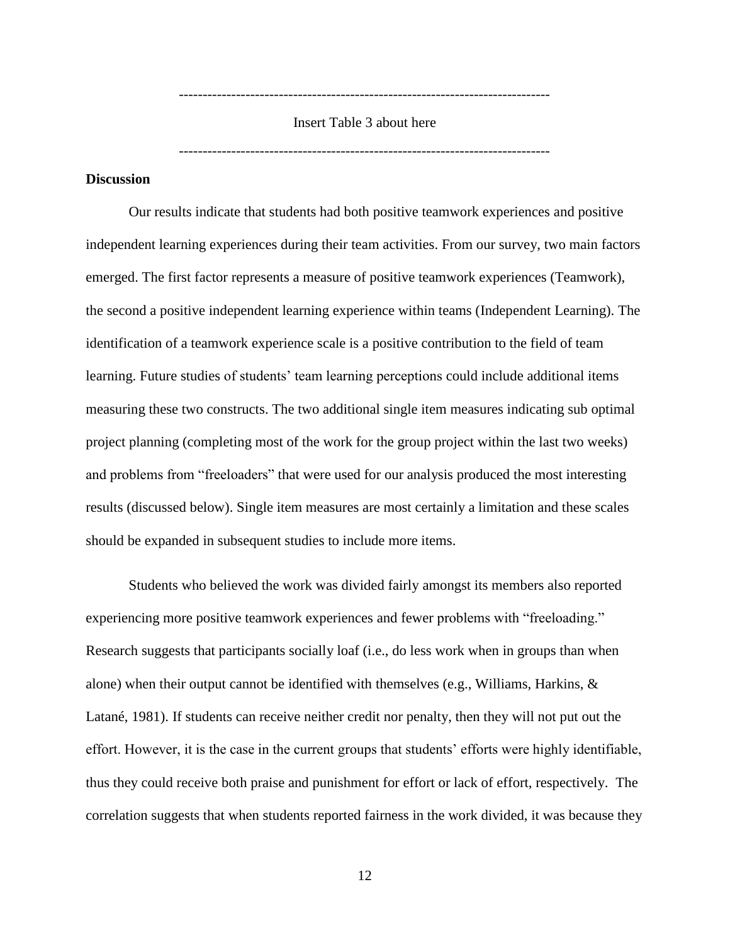Insert Table 3 about here

------------------------------------------------------------------------------

------------------------------------------------------------------------------

## **Discussion**

Our results indicate that students had both positive teamwork experiences and positive independent learning experiences during their team activities. From our survey, two main factors emerged. The first factor represents a measure of positive teamwork experiences (Teamwork), the second a positive independent learning experience within teams (Independent Learning). The identification of a teamwork experience scale is a positive contribution to the field of team learning. Future studies of students' team learning perceptions could include additional items measuring these two constructs. The two additional single item measures indicating sub optimal project planning (completing most of the work for the group project within the last two weeks) and problems from "freeloaders" that were used for our analysis produced the most interesting results (discussed below). Single item measures are most certainly a limitation and these scales should be expanded in subsequent studies to include more items.

Students who believed the work was divided fairly amongst its members also reported experiencing more positive teamwork experiences and fewer problems with "freeloading." Research suggests that participants socially loaf (i.e., do less work when in groups than when alone) when their output cannot be identified with themselves (e.g., Williams, Harkins, & Latané, 1981). If students can receive neither credit nor penalty, then they will not put out the effort. However, it is the case in the current groups that students' efforts were highly identifiable, thus they could receive both praise and punishment for effort or lack of effort, respectively. The correlation suggests that when students reported fairness in the work divided, it was because they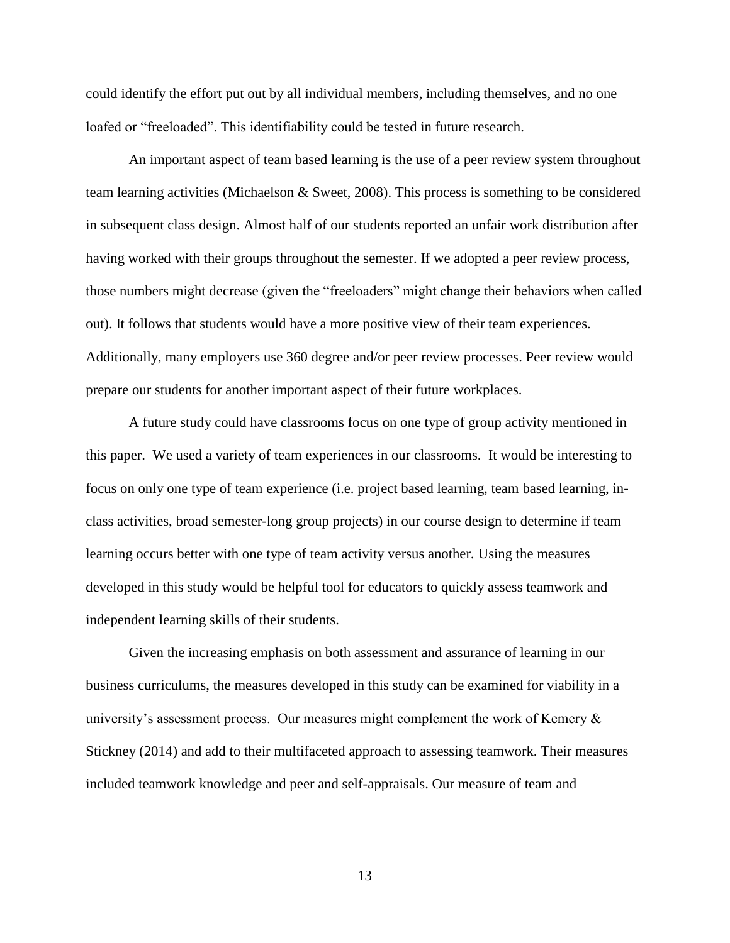could identify the effort put out by all individual members, including themselves, and no one loafed or "freeloaded". This identifiability could be tested in future research.

An important aspect of team based learning is the use of a peer review system throughout team learning activities (Michaelson & Sweet, 2008). This process is something to be considered in subsequent class design. Almost half of our students reported an unfair work distribution after having worked with their groups throughout the semester. If we adopted a peer review process, those numbers might decrease (given the "freeloaders" might change their behaviors when called out). It follows that students would have a more positive view of their team experiences. Additionally, many employers use 360 degree and/or peer review processes. Peer review would prepare our students for another important aspect of their future workplaces.

A future study could have classrooms focus on one type of group activity mentioned in this paper. We used a variety of team experiences in our classrooms. It would be interesting to focus on only one type of team experience (i.e. project based learning, team based learning, inclass activities, broad semester-long group projects) in our course design to determine if team learning occurs better with one type of team activity versus another. Using the measures developed in this study would be helpful tool for educators to quickly assess teamwork and independent learning skills of their students.

Given the increasing emphasis on both assessment and assurance of learning in our business curriculums, the measures developed in this study can be examined for viability in a university's assessment process. Our measures might complement the work of Kemery & Stickney (2014) and add to their multifaceted approach to assessing teamwork. Their measures included teamwork knowledge and peer and self-appraisals. Our measure of team and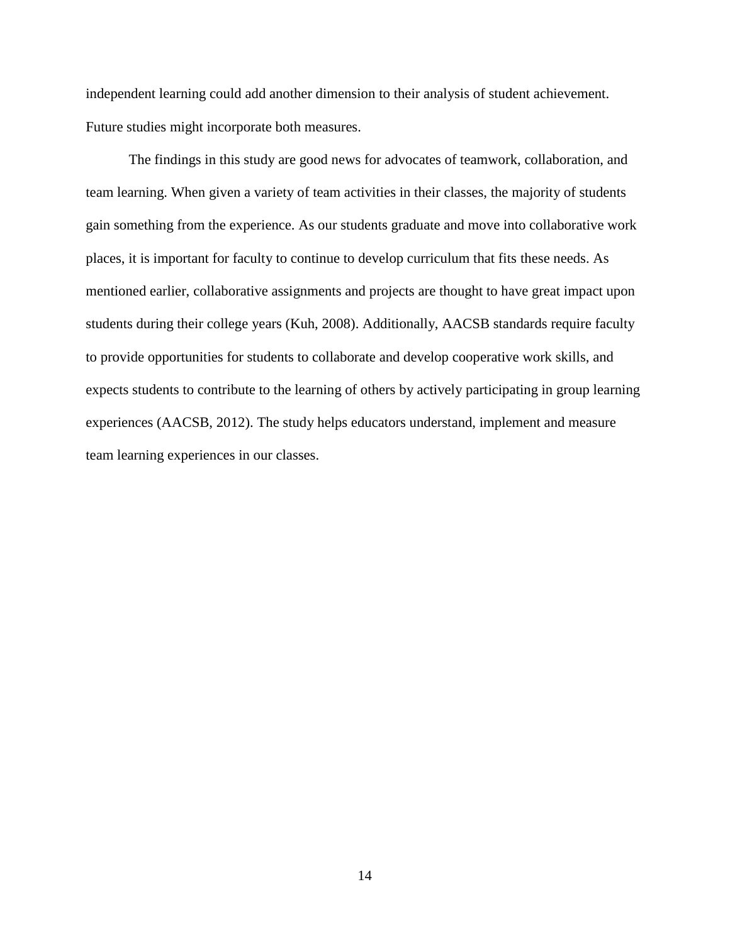independent learning could add another dimension to their analysis of student achievement. Future studies might incorporate both measures.

The findings in this study are good news for advocates of teamwork, collaboration, and team learning. When given a variety of team activities in their classes, the majority of students gain something from the experience. As our students graduate and move into collaborative work places, it is important for faculty to continue to develop curriculum that fits these needs. As mentioned earlier, collaborative assignments and projects are thought to have great impact upon students during their college years (Kuh, 2008). Additionally, AACSB standards require faculty to provide opportunities for students to collaborate and develop cooperative work skills, and expects students to contribute to the learning of others by actively participating in group learning experiences (AACSB, 2012). The study helps educators understand, implement and measure team learning experiences in our classes.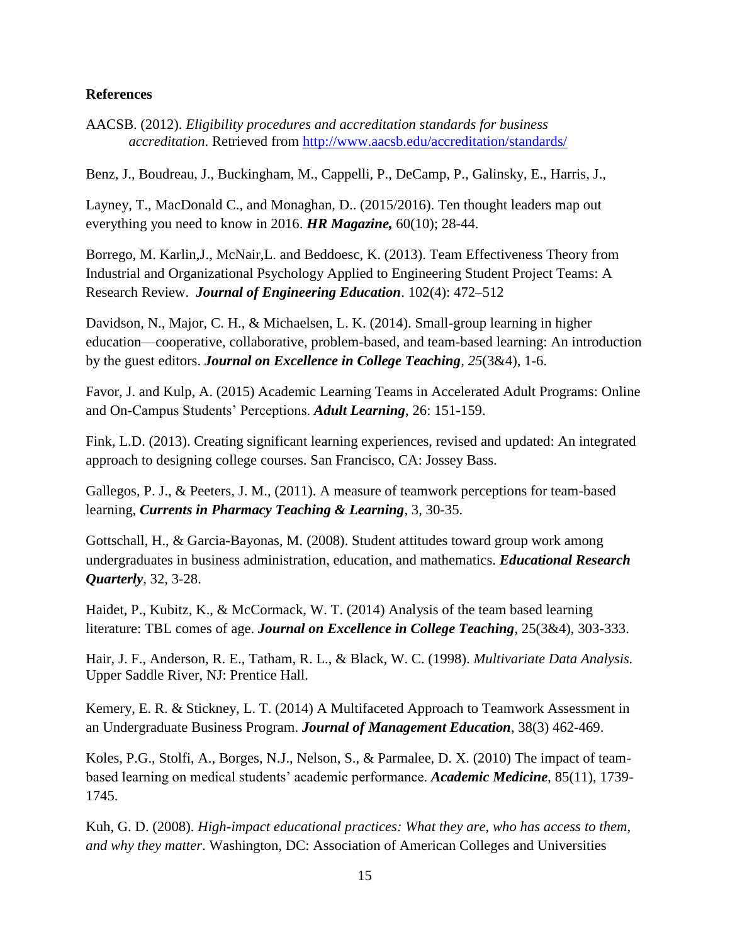### **References**

AACSB. (2012). *Eligibility procedures and accreditation standards for business accreditation*. Retrieved from<http://www.aacsb.edu/accreditation/standards/>

Benz, J., Boudreau, J., Buckingham, M., Cappelli, P., DeCamp, P., Galinsky, E., Harris, J.,

Layney, T., MacDonald C., and Monaghan, D.. (2015/2016). Ten thought leaders map out everything you need to know in 2016. *HR Magazine,* 60(10); 28-44.

Borrego, M. Karlin,J., McNair,L. and Beddoesc, K. (2013). Team Effectiveness Theory from Industrial and Organizational Psychology Applied to Engineering Student Project Teams: A Research Review. *Journal of Engineering Education*. 102(4): 472–512

Davidson, N., Major, C. H., & Michaelsen, L. K. (2014). Small-group learning in higher education—cooperative, collaborative, problem-based, and team-based learning: An introduction by the guest editors. *Journal on Excellence in College Teaching, 25*(3&4), 1-6.

Favor, J. and Kulp, A. (2015) Academic Learning Teams in Accelerated Adult Programs: Online and On-Campus Students' Perceptions. *Adult Learning*, 26: 151-159.

Fink, L.D. (2013). Creating significant learning experiences, revised and updated: An integrated approach to designing college courses. San Francisco, CA: Jossey Bass.

Gallegos, P. J., & Peeters, J. M., (2011). A measure of teamwork perceptions for team-based learning, *Currents in Pharmacy Teaching & Learning*, 3, 30-35.

Gottschall, H., & Garcia-Bayonas, M. (2008). Student attitudes toward group work among undergraduates in business administration, education, and mathematics. *Educational Research Quarterly*, 32, 3-28.

Haidet, P., Kubitz, K., & McCormack, W. T. (2014) Analysis of the team based learning literature: TBL comes of age. *Journal on Excellence in College Teaching*, 25(3&4), 303-333.

Hair, J. F., Anderson, R. E., Tatham, R. L., & Black, W. C. (1998). *Multivariate Data Analysis.* Upper Saddle River, NJ: Prentice Hall.

Kemery, E. R. & Stickney, L. T. (2014) A Multifaceted Approach to Teamwork Assessment in an Undergraduate Business Program. *Journal of Management Education*, 38(3) 462-469.

Koles, P.G., Stolfi, A., Borges, N.J., Nelson, S., & Parmalee, D. X. (2010) The impact of teambased learning on medical students' academic performance. *Academic Medicine*, 85(11), 1739- 1745.

Kuh, G. D. (2008). *High-impact educational practices: What they are, who has access to them, and why they matter*. Washington, DC: Association of American Colleges and Universities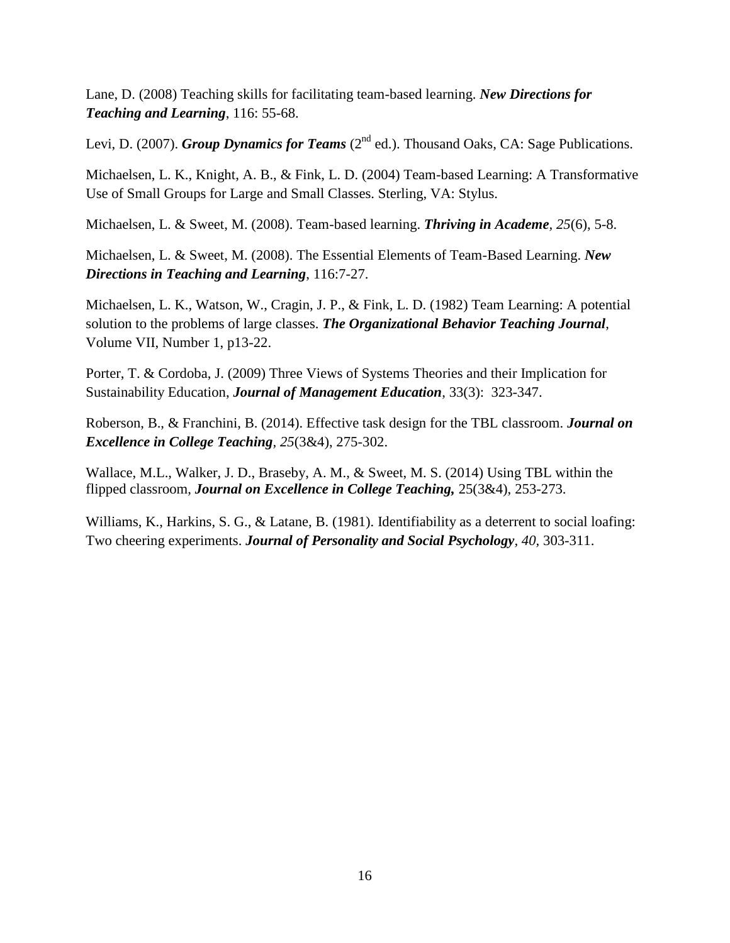Lane, D. (2008) Teaching skills for facilitating team-based learning. *New Directions for Teaching and Learning*, 116: 55-68.

Levi, D. (2007). *Group Dynamics for Teams* (2<sup>nd</sup> ed.). Thousand Oaks, CA: Sage Publications.

Michaelsen, L. K., Knight, A. B., & Fink, L. D. (2004) Team-based Learning: A Transformative Use of Small Groups for Large and Small Classes. Sterling, VA: Stylus.

Michaelsen, L. & Sweet, M. (2008). Team-based learning. *Thriving in Academe, 25*(6), 5-8.

Michaelsen, L. & Sweet, M. (2008). The Essential Elements of Team-Based Learning. *New Directions in Teaching and Learning*, 116:7-27.

Michaelsen, L. K., Watson, W., Cragin, J. P., & Fink, L. D. (1982) Team Learning: A potential solution to the problems of large classes. *The Organizational Behavior Teaching Journal*, Volume VII, Number 1, p13-22.

Porter, T. & Cordoba, J. (2009) Three Views of Systems Theories and their Implication for Sustainability Education, *Journal of Management Education*, 33(3): 323-347.

Roberson, B., & Franchini, B. (2014). Effective task design for the TBL classroom. *Journal on Excellence in College Teaching, 25*(3&4), 275-302.

Wallace, M.L., Walker, J. D., Braseby, A. M., & Sweet, M. S. (2014) Using TBL within the flipped classroom, *Journal on Excellence in College Teaching,* 25(3&4), 253-273.

Williams, K., Harkins, S. G., & Latane, B. (1981). Identifiability as a deterrent to social loafing: Two cheering experiments. *Journal of Personality and Social Psychology, 40,* 303-311.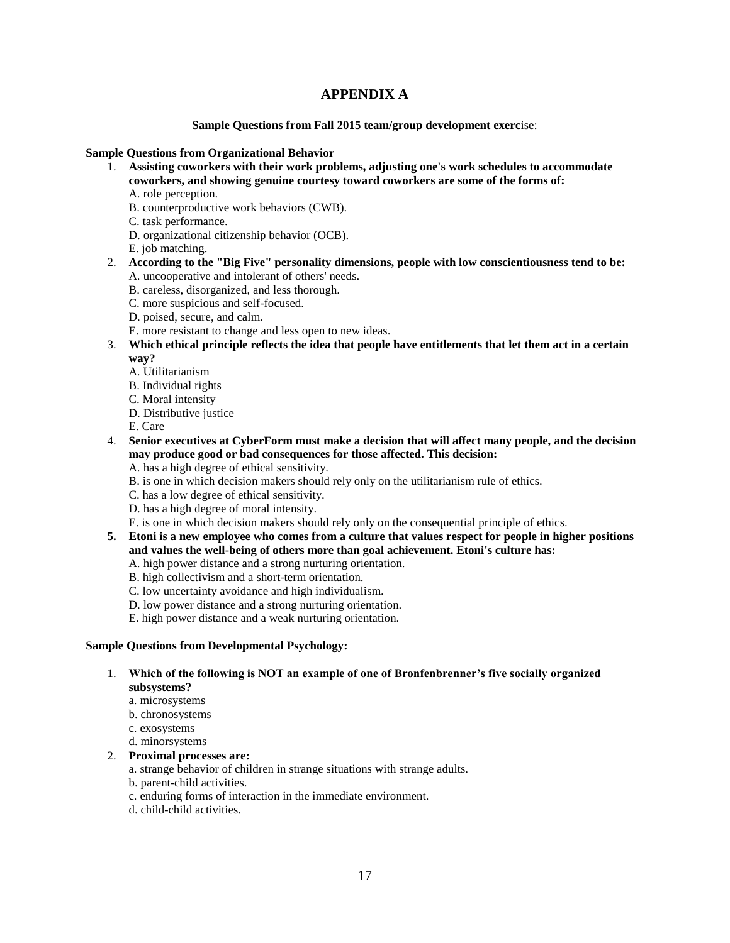## **APPENDIX A**

**Sample Questions from Fall 2015 team/group development exerc**ise:

#### **Sample Questions from Organizational Behavior**

- 1. **Assisting coworkers with their work problems, adjusting one's work schedules to accommodate coworkers, and showing genuine courtesy toward coworkers are some of the forms of:** A. role perception.
	- B. counterproductive work behaviors (CWB).
	- C. task performance.
	- D. organizational citizenship behavior (OCB).
	- E. job matching.
- 2. **According to the "Big Five" personality dimensions, people with low conscientiousness tend to be:** A. uncooperative and intolerant of others' needs.
	- B. careless, disorganized, and less thorough.
	- C. more suspicious and self-focused.
	- D. poised, secure, and calm.
	- E. more resistant to change and less open to new ideas.
- 3. **Which ethical principle reflects the idea that people have entitlements that let them act in a certain way?**
	- A. Utilitarianism
	- B. Individual rights
	- C. Moral intensity
	- D. Distributive justice
	- E. Care
- 4. **Senior executives at CyberForm must make a decision that will affect many people, and the decision may produce good or bad consequences for those affected. This decision:**
	- A. has a high degree of ethical sensitivity.
	- B. is one in which decision makers should rely only on the utilitarianism rule of ethics.
	- C. has a low degree of ethical sensitivity.
	- D. has a high degree of moral intensity.
	- E. is one in which decision makers should rely only on the consequential principle of ethics.
- **5. Etoni is a new employee who comes from a culture that values respect for people in higher positions and values the well-being of others more than goal achievement. Etoni's culture has:**
	- A. high power distance and a strong nurturing orientation. B. high collectivism and a short-term orientation.
	- C. low uncertainty avoidance and high individualism.
	-
	- D. low power distance and a strong nurturing orientation. E. high power distance and a weak nurturing orientation.
	-

#### **Sample Questions from Developmental Psychology:**

- 1. **Which of the following is NOT an example of one of Bronfenbrenner's five socially organized subsystems?** 
	- a. microsystems
	- b. chronosystems
	- c. exosystems
	- d. minorsystems

#### 2. **Proximal processes are:**

a. strange behavior of children in strange situations with strange adults.

- b. parent-child activities.
- c. enduring forms of interaction in the immediate environment.
- d. child-child activities.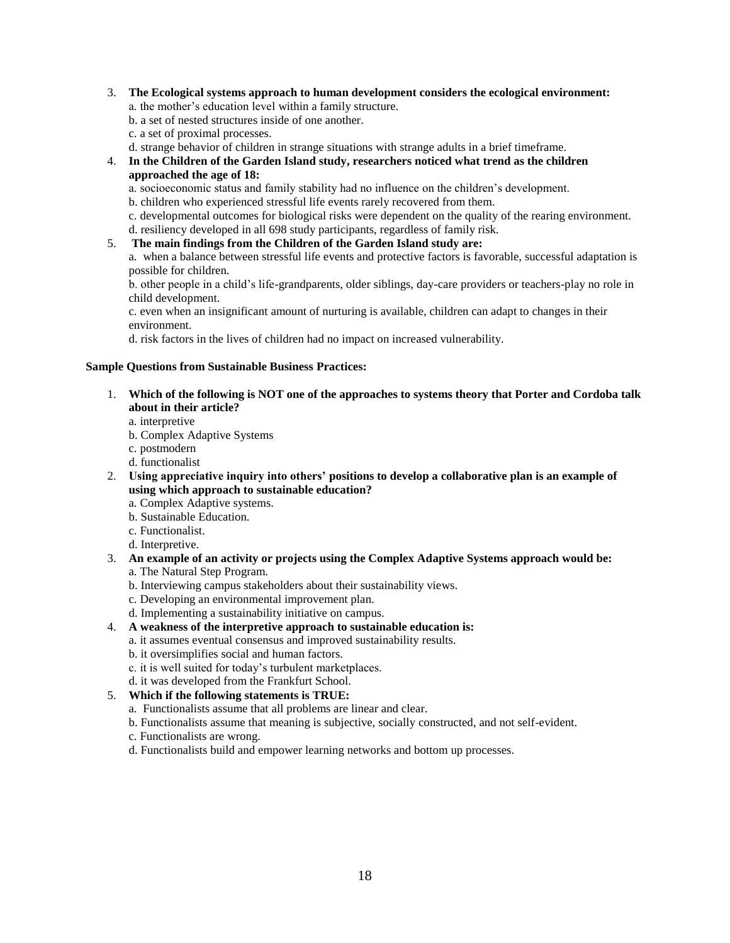- 3. **The Ecological systems approach to human development considers the ecological environment:** a. the mother's education level within a family structure.
	- b. a set of nested structures inside of one another.
	- c. a set of proximal processes.
	- d. strange behavior of children in strange situations with strange adults in a brief timeframe.
- 4. **In the Children of the Garden Island study, researchers noticed what trend as the children approached the age of 18:**

a. socioeconomic status and family stability had no influence on the children's development.

b. children who experienced stressful life events rarely recovered from them.

c. developmental outcomes for biological risks were dependent on the quality of the rearing environment. d. resiliency developed in all 698 study participants, regardless of family risk.

5. **The main findings from the Children of the Garden Island study are:**

a. when a balance between stressful life events and protective factors is favorable, successful adaptation is possible for children.

b. other people in a child's life-grandparents, older siblings, day-care providers or teachers-play no role in child development.

c. even when an insignificant amount of nurturing is available, children can adapt to changes in their environment.

d. risk factors in the lives of children had no impact on increased vulnerability.

#### **Sample Questions from Sustainable Business Practices:**

- 1. **Which of the following is NOT one of the approaches to systems theory that Porter and Cordoba talk about in their article?**
	- a. interpretive
	- b. Complex Adaptive Systems
	- c. postmodern
	- d. functionalist
- 2. **Using appreciative inquiry into others' positions to develop a collaborative plan is an example of using which approach to sustainable education?**
	- a. Complex Adaptive systems.
	- b. Sustainable Education.
	- c. Functionalist.
	- d. Interpretive.
- 3. **An example of an activity or projects using the Complex Adaptive Systems approach would be:** a. The Natural Step Program.
	-
	- b. Interviewing campus stakeholders about their sustainability views.
	- c. Developing an environmental improvement plan.
- d. Implementing a sustainability initiative on campus. 4. **A weakness of the interpretive approach to sustainable education is:**
	- a. it assumes eventual consensus and improved sustainability results.
	- b. it oversimplifies social and human factors.
	- c. it is well suited for today's turbulent marketplaces.
	- d. it was developed from the Frankfurt School.

#### 5. **Which if the following statements is TRUE:**

- a. Functionalists assume that all problems are linear and clear.
- b. Functionalists assume that meaning is subjective, socially constructed, and not self-evident.
- c. Functionalists are wrong.
- d. Functionalists build and empower learning networks and bottom up processes.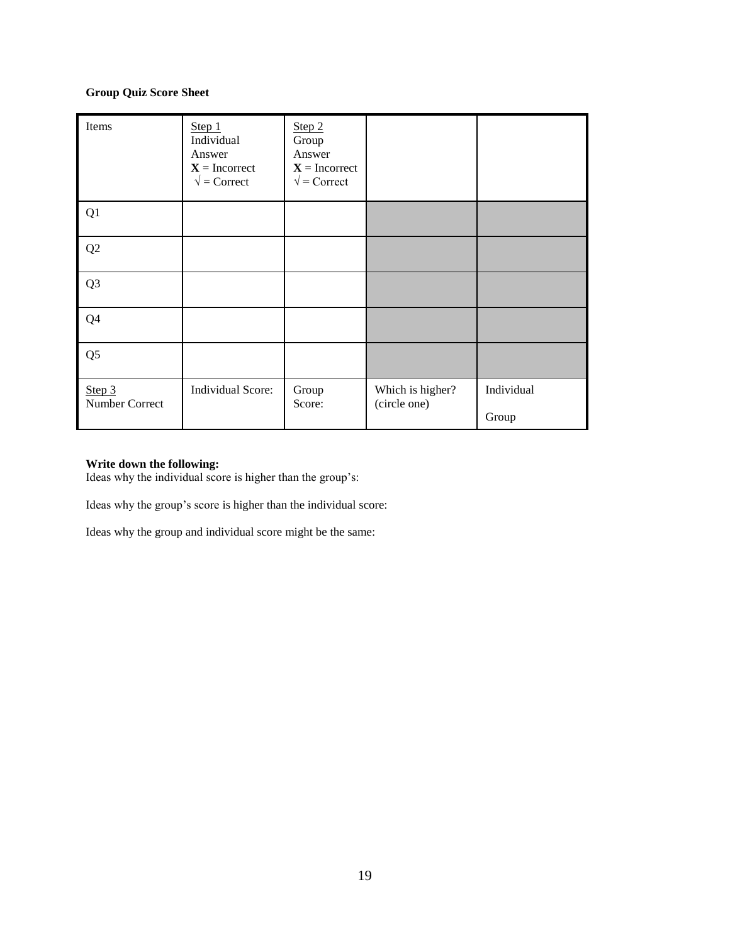#### **Group Quiz Score Sheet**

| Items                    | Step 1<br>Individual<br>Answer<br>$X =$ Incorrect<br>$\sqrt{\ }$ = Correct | Step 2<br>Group<br>Answer<br>$X = Incorrect$<br>$\sqrt{\ }$ = Correct |                                  |            |
|--------------------------|----------------------------------------------------------------------------|-----------------------------------------------------------------------|----------------------------------|------------|
| Q1                       |                                                                            |                                                                       |                                  |            |
| Q2                       |                                                                            |                                                                       |                                  |            |
| Q <sub>3</sub>           |                                                                            |                                                                       |                                  |            |
| Q4                       |                                                                            |                                                                       |                                  |            |
| Q <sub>5</sub>           |                                                                            |                                                                       |                                  |            |
| Step 3<br>Number Correct | Individual Score:                                                          | Group<br>Score:                                                       | Which is higher?<br>(circle one) | Individual |
|                          |                                                                            |                                                                       |                                  | Group      |

#### **Write down the following:**

Ideas why the individual score is higher than the group's:

Ideas why the group's score is higher than the individual score:

Ideas why the group and individual score might be the same: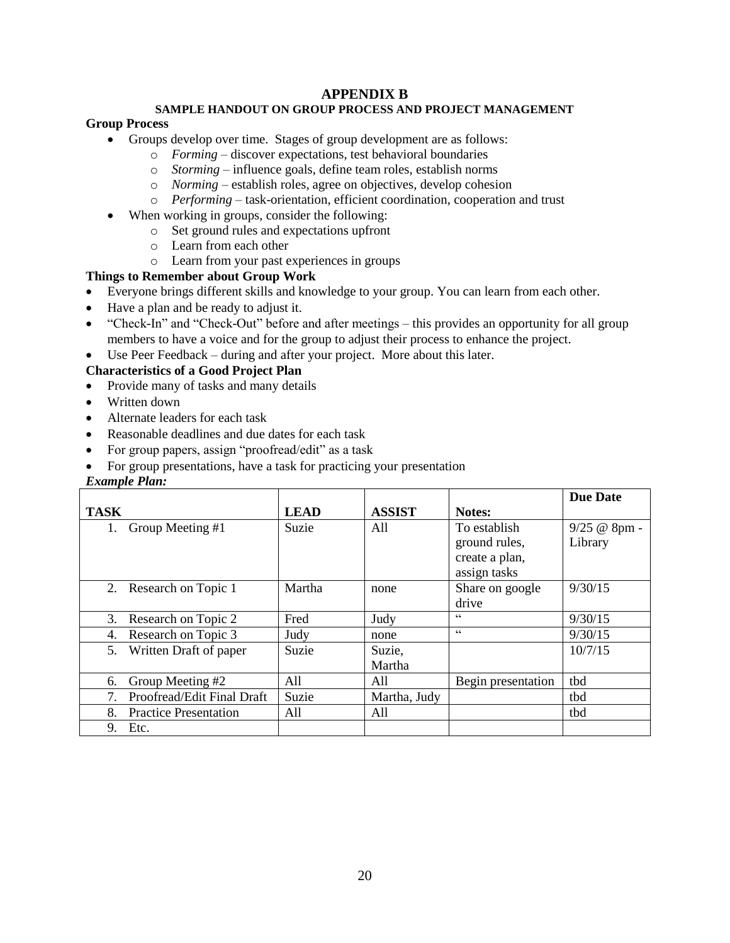## **APPENDIX B**

#### **SAMPLE HANDOUT ON GROUP PROCESS AND PROJECT MANAGEMENT**

#### **Group Process**

- Groups develop over time. Stages of group development are as follows:
	- o *Forming*  discover expectations, test behavioral boundaries
	- o *Storming* influence goals, define team roles, establish norms
	- o *Norming* establish roles, agree on objectives, develop cohesion
	- o *Performing* task-orientation, efficient coordination, cooperation and trust
- When working in groups, consider the following:
	- o Set ground rules and expectations upfront
	- o Learn from each other
	- o Learn from your past experiences in groups

#### **Things to Remember about Group Work**

- Everyone brings different skills and knowledge to your group. You can learn from each other.
- Have a plan and be ready to adjust it.
- "Check-In" and "Check-Out" before and after meetings this provides an opportunity for all group members to have a voice and for the group to adjust their process to enhance the project.
- Use Peer Feedback during and after your project. More about this later.

#### **Characteristics of a Good Project Plan**

- Provide many of tasks and many details
- Written down
- Alternate leaders for each task
- Reasonable deadlines and due dates for each task
- For group papers, assign "proofread/edit" as a task
- For group presentations, have a task for practicing your presentation

#### *Example Plan:*

|                                    |                            |             |               |                    | <b>Due Date</b> |
|------------------------------------|----------------------------|-------------|---------------|--------------------|-----------------|
| <b>TASK</b>                        |                            | <b>LEAD</b> | <b>ASSIST</b> | Notes:             |                 |
| Group Meeting #1                   |                            | Suzie       | A11           | To establish       | 9/25 @ 8pm      |
|                                    |                            |             |               | ground rules,      | Library         |
|                                    |                            |             |               | create a plan,     |                 |
|                                    |                            |             |               | assign tasks       |                 |
| Research on Topic 1<br>2.          |                            | Martha      | none          | Share on google    | 9/30/15         |
|                                    |                            |             |               | drive              |                 |
| Research on Topic 2<br>3.          |                            | Fred        | Judy          | $\epsilon$         | 9/30/15         |
| Research on Topic 3<br>4.          |                            | Judy        | none          | C                  | 9/30/15         |
| 5.<br>Written Draft of paper       |                            | Suzie       | Suzie,        |                    | 10/7/15         |
|                                    |                            |             | Martha        |                    |                 |
| Group Meeting #2<br>6.             |                            | All         | All           | Begin presentation | tbd             |
| 7.                                 | Proofread/Edit Final Draft | Suzie       | Martha, Judy  |                    | tbd             |
| 8.<br><b>Practice Presentation</b> |                            | All         | All           |                    | tbd             |
| 9.<br>Etc.                         |                            |             |               |                    |                 |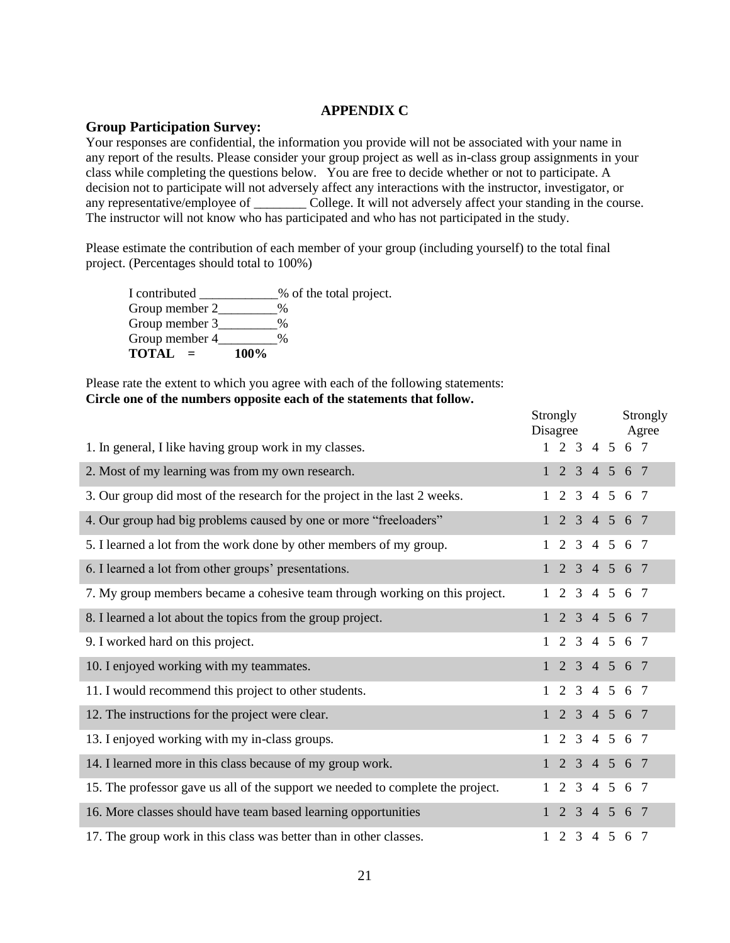#### **APPENDIX C**

#### **Group Participation Survey:**

Your responses are confidential, the information you provide will not be associated with your name in any report of the results. Please consider your group project as well as in-class group assignments in your class while completing the questions below. You are free to decide whether or not to participate. A decision not to participate will not adversely affect any interactions with the instructor, investigator, or any representative/employee of \_\_\_\_\_\_\_\_ College. It will not adversely affect your standing in the course. The instructor will not know who has participated and who has not participated in the study.

Please estimate the contribution of each member of your group (including yourself) to the total final project. (Percentages should total to 100%)

I contributed \_\_\_\_\_\_\_\_\_\_\_\_% of the total project. Group member 2 % Group member 3 % Group member 4 \_\_\_\_\_\_\_ % **TOTAL = 100%**

Please rate the extent to which you agree with each of the following statements: **Circle one of the numbers opposite each of the statements that follow.**

|                                                                                 | Strongly<br>Disagree |                             |  | Strongly<br>Agree |
|---------------------------------------------------------------------------------|----------------------|-----------------------------|--|-------------------|
| 1. In general, I like having group work in my classes.                          |                      | $1\ 2\ 3\ 4\ 5\ 6\ 7$       |  |                   |
| 2. Most of my learning was from my own research.                                |                      | 1 2 3 4 5 6 7               |  |                   |
| 3. Our group did most of the research for the project in the last 2 weeks.      |                      | 2 3 4 5 6 7                 |  |                   |
| 4. Our group had big problems caused by one or more "freeloaders"               |                      | 2 3 4 5 6 7                 |  |                   |
| 5. I learned a lot from the work done by other members of my group.             |                      | 1 2 3 4 5 6 7               |  |                   |
| 6. I learned a lot from other groups' presentations.                            |                      | $1\ 2\ 3\ 4\ 5\ 6\ 7$       |  |                   |
| 7. My group members became a cohesive team through working on this project.     |                      | 1 2 3 4 5 6 7               |  |                   |
| 8. I learned a lot about the topics from the group project.                     |                      | $1 \t2 \t3 \t4 \t5 \t6 \t7$ |  |                   |
| 9. I worked hard on this project.                                               |                      | $1 \t2 \t3 \t4 \t5 \t6 \t7$ |  |                   |
| 10. I enjoyed working with my teammates.                                        |                      | 1 2 3 4 5 6 7               |  |                   |
| 11. I would recommend this project to other students.                           |                      | $1\ 2\ 3\ 4\ 5\ 6\ 7$       |  |                   |
| 12. The instructions for the project were clear.                                |                      | 1 2 3 4 5 6 7               |  |                   |
| 13. I enjoyed working with my in-class groups.                                  | $\mathbf{1}$         | 2 3 4 5 6 7                 |  |                   |
| 14. I learned more in this class because of my group work.                      |                      | 2 3 4 5 6 7                 |  |                   |
| 15. The professor gave us all of the support we needed to complete the project. |                      | 1 2 3 4 5 6 7               |  |                   |
| 16. More classes should have team based learning opportunities                  |                      | 1 2 3 4 5 6 7               |  |                   |
| 17. The group work in this class was better than in other classes.              |                      | 1 2 3 4 5 6 7               |  |                   |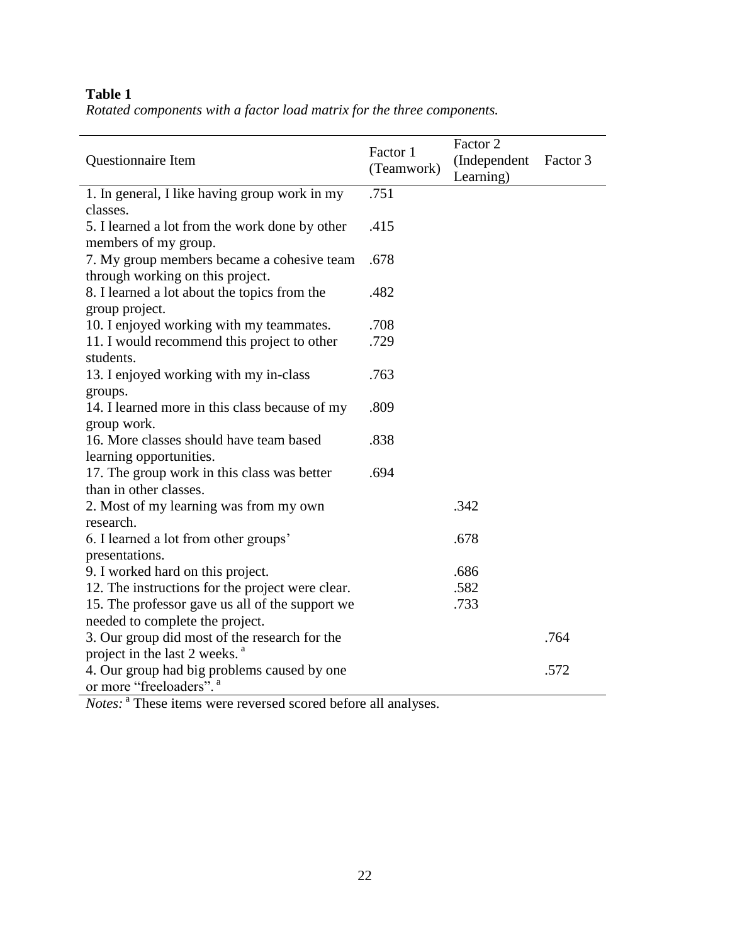## **Table 1**

*Rotated components with a factor load matrix for the three components.*

| Questionnaire Item                               | Factor 1<br>(Teamwork) | Factor 2<br>(Independent<br>Learning) | Factor 3 |
|--------------------------------------------------|------------------------|---------------------------------------|----------|
| 1. In general, I like having group work in my    | .751                   |                                       |          |
| classes.                                         |                        |                                       |          |
| 5. I learned a lot from the work done by other   | .415                   |                                       |          |
| members of my group.                             |                        |                                       |          |
| 7. My group members became a cohesive team       | .678                   |                                       |          |
| through working on this project.                 |                        |                                       |          |
| 8. I learned a lot about the topics from the     | .482                   |                                       |          |
| group project.                                   |                        |                                       |          |
| 10. I enjoyed working with my teammates.         | .708                   |                                       |          |
| 11. I would recommend this project to other      | .729                   |                                       |          |
| students.                                        |                        |                                       |          |
| 13. I enjoyed working with my in-class           | .763                   |                                       |          |
| groups.                                          |                        |                                       |          |
| 14. I learned more in this class because of my   | .809                   |                                       |          |
| group work.                                      |                        |                                       |          |
| 16. More classes should have team based          | .838                   |                                       |          |
| learning opportunities.                          |                        |                                       |          |
| 17. The group work in this class was better      | .694                   |                                       |          |
| than in other classes.                           |                        |                                       |          |
| 2. Most of my learning was from my own           |                        | .342                                  |          |
| research.                                        |                        |                                       |          |
| 6. I learned a lot from other groups'            |                        | .678                                  |          |
| presentations.                                   |                        |                                       |          |
| 9. I worked hard on this project.                |                        | .686                                  |          |
| 12. The instructions for the project were clear. |                        | .582                                  |          |
| 15. The professor gave us all of the support we  |                        | .733                                  |          |
| needed to complete the project.                  |                        |                                       |          |
| 3. Our group did most of the research for the    |                        |                                       | .764     |
| project in the last 2 weeks. <sup>a</sup>        |                        |                                       |          |
| 4. Our group had big problems caused by one      |                        |                                       | .572     |
| or more "freeloaders". <sup>a</sup>              |                        |                                       |          |
|                                                  |                        |                                       |          |

Notes: <sup>a</sup> These items were reversed scored before all analyses.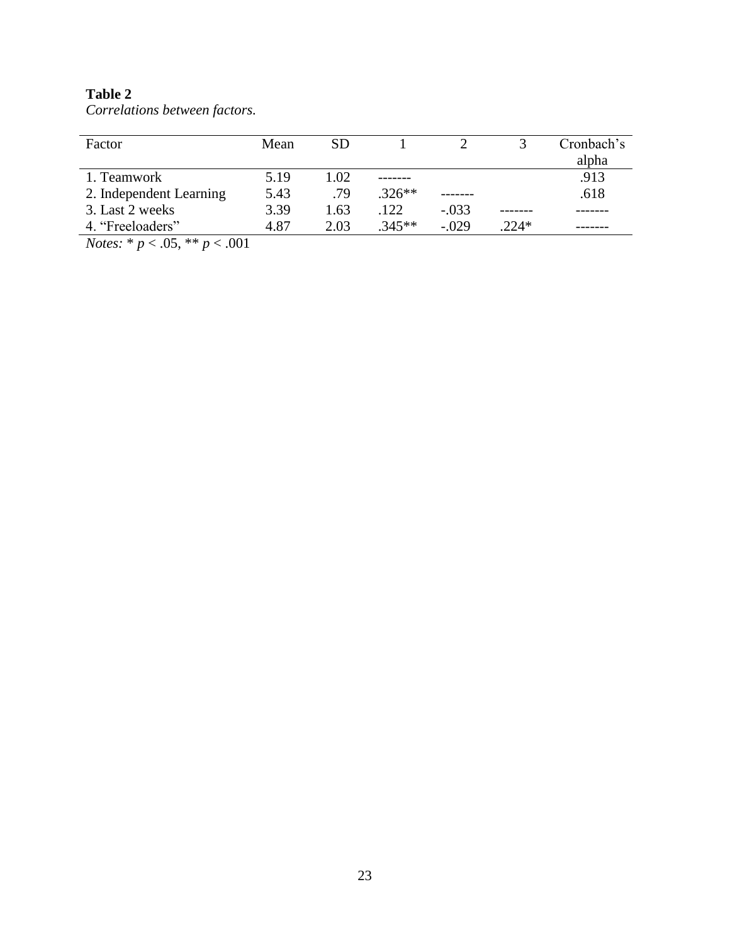## **Table 2**

| Factor                                              | Mean | <b>SD</b> |          |         |         | Cronbach's |
|-----------------------------------------------------|------|-----------|----------|---------|---------|------------|
|                                                     |      |           |          |         |         | alpha      |
| 1. Teamwork                                         | 5.19 | 1.02      |          |         |         | .913       |
| 2. Independent Learning                             | 5.43 | .79       | $.326**$ |         |         | .618       |
| 3. Last 2 weeks                                     | 3.39 | 1.63      | 122      | $-.033$ |         |            |
| 4. "Freeloaders"                                    | 4.87 | 2.03      | $.345**$ | $-.029$ | $.224*$ |            |
| $\mathbf{M}$ , the $\mathbf{M}$ shake<br>$\sim$ 001 |      |           |          |         |         |            |

*Correlations between factors.*

*Notes:* \* *p* < .05, \*\* *p* < .001